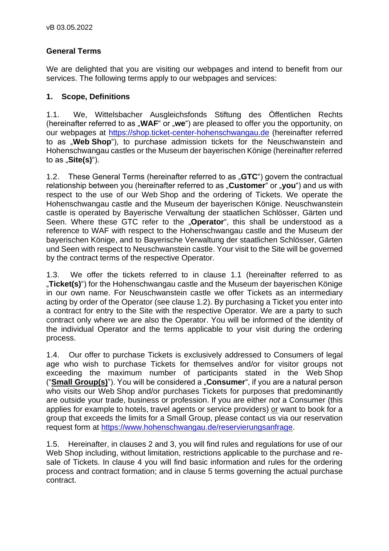# **General Terms**

We are delighted that you are visiting our webpages and intend to benefit from our services. The following terms apply to our webpages and services:

## **1. Scope, Definitions**

1.1. We, Wittelsbacher Ausgleichsfonds Stiftung des Öffentlichen Rechts (hereinafter referred to as "**WAF**" or "we") are pleased to offer you the opportunity, on our webpages at [https://shop.ticket-center-hohenschwangau.de](https://shop.ticket-center-hohenschwangau.de/) (hereinafter referred to as "**Web Shop**"), to purchase admission tickets for the Neuschwanstein and Hohenschwangau castles or the Museum der bayerischen Könige (hereinafter referred to as "Site(s)").

1.2. These General Terms (hereinafter referred to as "GTC") govern the contractual relationship between you (hereinafter referred to as "**Customer**" or "**you**") and us with respect to the use of our Web Shop and the ordering of Tickets. We operate the Hohenschwangau castle and the Museum der bayerischen Könige. Neuschwanstein castle is operated by Bayerische Verwaltung der staatlichen Schlösser, Gärten und Seen. Where these GTC refer to the "**Operator**", this shall be understood as a reference to WAF with respect to the Hohenschwangau castle and the Museum der bayerischen Könige, and to Bayerische Verwaltung der staatlichen Schlösser, Gärten und Seen with respect to Neuschwanstein castle. Your visit to the Site will be governed by the contract terms of the respective Operator.

1.3. We offer the tickets referred to in clause 1.1 (hereinafter referred to as "**Ticket(s)**") for the Hohenschwangau castle and the Museum der bayerischen Könige in our own name. For Neuschwanstein castle we offer Tickets as an intermediary acting by order of the Operator (see clause 1.2). By purchasing a Ticket you enter into a contract for entry to the Site with the respective Operator. We are a party to such contract only where we are also the Operator. You will be informed of the identity of the individual Operator and the terms applicable to your visit during the ordering process.

1.4. Our offer to purchase Tickets is exclusively addressed to Consumers of legal age who wish to purchase Tickets for themselves and/or for visitor groups not exceeding the maximum number of participants stated in the Web Shop ("**Small Group(s)**"). You will be considered a "**Consumer**", if you are a natural person who visits our Web Shop and/or purchases Tickets for purposes that predominantly are outside your trade, business or profession. If you are either *not* a Consumer (this applies for example to hotels, travel agents or service providers) or want to book for a group that exceeds the limits for a Small Group, please contact us via our reservation request form at [https://www.hohenschwangau.de/reservierungsanfrage.](https://www.hohenschwangau.de/reservierungsanfrage)

1.5. Hereinafter, in clauses 2 and 3, you will find rules and regulations for use of our Web Shop including, without limitation, restrictions applicable to the purchase and resale of Tickets. In clause 4 you will find basic information and rules for the ordering process and contract formation; and in clause 5 terms governing the actual purchase contract.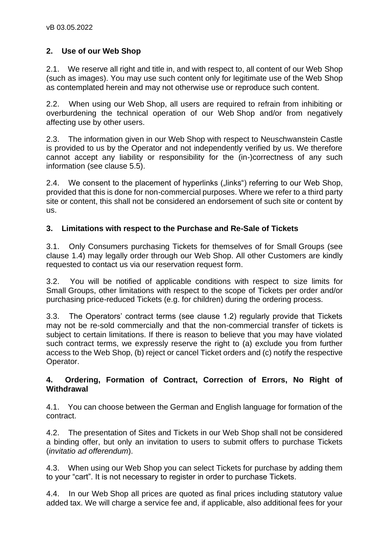# **2. Use of our Web Shop**

2.1. We reserve all right and title in, and with respect to, all content of our Web Shop (such as images). You may use such content only for legitimate use of the Web Shop as contemplated herein and may not otherwise use or reproduce such content.

2.2. When using our Web Shop, all users are required to refrain from inhibiting or overburdening the technical operation of our Web Shop and/or from negatively affecting use by other users.

2.3. The information given in our Web Shop with respect to Neuschwanstein Castle is provided to us by the Operator and not independently verified by us. We therefore cannot accept any liability or responsibility for the (in-)correctness of any such information (see clause 5.5).

2.4. We consent to the placement of hyperlinks ("links") referring to our Web Shop, provided that this is done for non-commercial purposes. Where we refer to a third party site or content, this shall not be considered an endorsement of such site or content by us.

### **3. Limitations with respect to the Purchase and Re-Sale of Tickets**

3.1. Only Consumers purchasing Tickets for themselves of for Small Groups (see clause 1.4) may legally order through our Web Shop. All other Customers are kindly requested to contact us via our reservation request form.

3.2. You will be notified of applicable conditions with respect to size limits for Small Groups, other limitations with respect to the scope of Tickets per order and/or purchasing price-reduced Tickets (e.g. for children) during the ordering process.

3.3. The Operators' contract terms (see clause 1.2) regularly provide that Tickets may not be re-sold commercially and that the non-commercial transfer of tickets is subject to certain limitations. If there is reason to believe that you may have violated such contract terms, we expressly reserve the right to (a) exclude you from further access to the Web Shop, (b) reject or cancel Ticket orders and (c) notify the respective Operator.

### **4. Ordering, Formation of Contract, Correction of Errors, No Right of Withdrawal**

4.1. You can choose between the German and English language for formation of the contract.

4.2. The presentation of Sites and Tickets in our Web Shop shall not be considered a binding offer, but only an invitation to users to submit offers to purchase Tickets (*invitatio ad offerendum*).

4.3. When using our Web Shop you can select Tickets for purchase by adding them to your "cart". It is not necessary to register in order to purchase Tickets.

4.4. In our Web Shop all prices are quoted as final prices including statutory value added tax. We will charge a service fee and, if applicable, also additional fees for your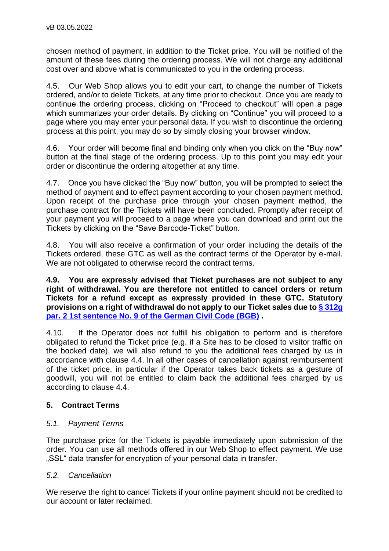chosen method of payment, in addition to the Ticket price. You will be notified of the amount of these fees during the ordering process. We will not charge any additional cost over and above what is communicated to you in the ordering process.

4.5. Our Web Shop allows you to edit your cart, to change the number of Tickets ordered, and/or to delete Tickets, at any time prior to checkout. Once you are ready to continue the ordering process, clicking on "Proceed to checkout" will open a page which summarizes your order details. By clicking on "Continue" you will proceed to a page where you may enter your personal data. If you wish to discontinue the ordering process at this point, you may do so by simply closing your browser window.

4.6. Your order will become final and binding only when you click on the "Buy now" button at the final stage of the ordering process. Up to this point you may edit your order or discontinue the ordering altogether at any time.

4.7. Once you have clicked the "Buy now" button, you will be prompted to select the method of payment and to effect payment according to your chosen payment method. Upon receipt of the purchase price through your chosen payment method, the purchase contract for the Tickets will have been concluded. Promptly after receipt of your payment you will proceed to a page where you can download and print out the Tickets by clicking on the "Save Barcode-Ticket" button.

4.8. You will also receive a confirmation of your order including the details of the Tickets ordered, these GTC as well as the contract terms of the Operator by e-mail. We are not obligated to otherwise record the contract terms.

**4.9. You are expressly advised that Ticket purchases are not subject to any right of withdrawal. You are therefore not entitled to cancel orders or return Tickets for a refund except as expressly provided in these GTC. Statutory provisions on a right of withdrawal do not apply to our Ticket sales due to [§ 312g](http://www.gesetze-im-internet.de/bgb/__312g.html)  [par. 2 1st sentence No. 9 of the German Civil Code \(BGB\)](http://www.gesetze-im-internet.de/bgb/__312g.html) .** 

4.10. If the Operator does not fulfill his obligation to perform and is therefore obligated to refund the Ticket price (e.g. if a Site has to be closed to visitor traffic on the booked date), we will also refund to you the additional fees charged by us in accordance with clause 4.4. In all other cases of cancellation against reimbursement of the ticket price, in particular if the Operator takes back tickets as a gesture of goodwill, you will not be entitled to claim back the additional fees charged by us according to clause 4.4.

# **5. Contract Terms**

### *5.1. Payment Terms*

The purchase price for the Tickets is payable immediately upon submission of the order. You can use all methods offered in our Web Shop to effect payment. We use "SSL" data transfer for encryption of your personal data in transfer.

### *5.2. Cancellation*

We reserve the right to cancel Tickets if your online payment should not be credited to our account or later reclaimed.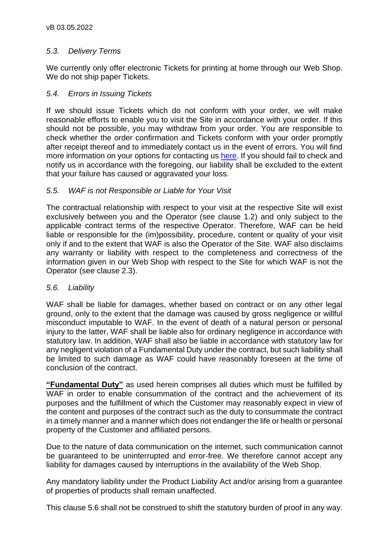## *5.3. Delivery Terms*

We currently only offer electronic Tickets for printing at home through our Web Shop. We do not ship paper Tickets.

## *5.4. Errors in Issuing Tickets*

If we should issue Tickets which do not conform with your order, we will make reasonable efforts to enable you to visit the Site in accordance with your order. If this should not be possible, you may withdraw from your order. You are responsible to check whether the order confirmation and Tickets conform with your order promptly after receipt thereof and to immediately contact us in the event of errors. You will find more information on your options for contacting us [here.](https://www.hohenschwangau.de/1313.html) If you should fail to check and notify us in accordance with the foregoing, our liability shall be excluded to the extent that your failure has caused or aggravated your loss.

## *5.5. WAF is not Responsible or Liable for Your Visit*

The contractual relationship with respect to your visit at the respective Site will exist exclusively between you and the Operator (see clause 1.2) and only subject to the applicable contract terms of the respective Operator. Therefore, WAF can be held liable or responsible for the (im)possibility, procedure, content or quality of your visit only if and to the extent that WAF is also the Operator of the Site. WAF also disclaims any warranty or liability with respect to the completeness and correctness of the information given in our Web Shop with respect to the Site for which WAF is not the Operator (see clause 2.3).

### *5.6. Liability*

WAF shall be liable for damages, whether based on contract or on any other legal ground, only to the extent that the damage was caused by gross negligence or willful misconduct imputable to WAF. In the event of death of a natural person or personal injury to the latter, WAF shall be liable also for ordinary negligence in accordance with statutory law. In addition, WAF shall also be liable in accordance with statutory law for any negligent violation of a Fundamental Duty under the contract, but such liability shall be limited to such damage as WAF could have reasonably foreseen at the time of conclusion of the contract.

**"Fundamental Duty"** as used herein comprises all duties which must be fulfilled by WAF in order to enable consummation of the contract and the achievement of its purposes and the fulfillment of which the Customer may reasonably expect in view of the content and purposes of the contract such as the duty to consummate the contract in a timely manner and a manner which does not endanger the life or health or personal property of the Customer and affiliated persons.

Due to the nature of data communication on the internet, such communication cannot be guaranteed to be uninterrupted and error-free. We therefore cannot accept any liability for damages caused by interruptions in the availability of the Web Shop.

Any mandatory liability under the Product Liability Act and/or arising from a guarantee of properties of products shall remain unaffected.

This clause 5.6 shall not be construed to shift the statutory burden of proof in any way.